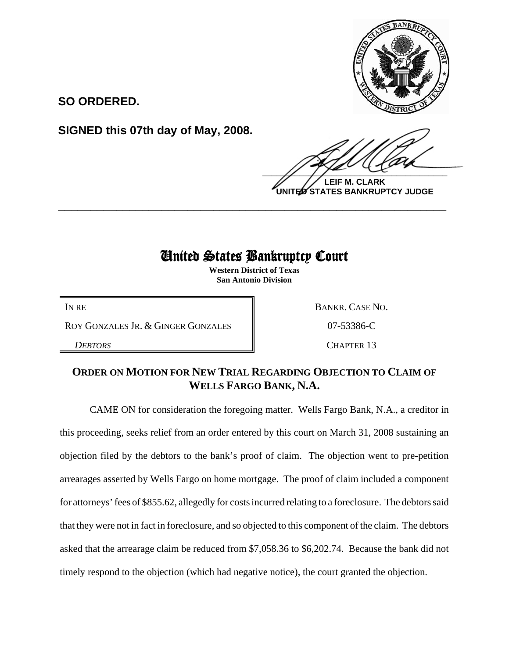

**SO ORDERED.**

**SIGNED this 07th day of May, 2008.**

 $\frac{1}{2}$ 

**LEIF M. CLARK UNITED STATES BANKRUPTCY JUDGE**

## United States Bankruptcy Court

**\_\_\_\_\_\_\_\_\_\_\_\_\_\_\_\_\_\_\_\_\_\_\_\_\_\_\_\_\_\_\_\_\_\_\_\_\_\_\_\_\_\_\_\_\_\_\_\_\_\_\_\_\_\_\_\_\_\_\_\_**

**Western District of Texas San Antonio Division**

ROY GONZALES JR. & GINGER GONZALES  $\parallel$  07-53386-C

IN RE BANKR. CASE NO.

**DEBTORS** CHAPTER 13

## **ORDER ON MOTION FOR NEW TRIAL REGARDING OBJECTION TO CLAIM OF WELLS FARGO BANK, N.A.**

CAME ON for consideration the foregoing matter. Wells Fargo Bank, N.A., a creditor in this proceeding, seeks relief from an order entered by this court on March 31, 2008 sustaining an objection filed by the debtors to the bank's proof of claim. The objection went to pre-petition arrearages asserted by Wells Fargo on home mortgage. The proof of claim included a component for attorneys' fees of \$855.62, allegedly for costs incurred relating to a foreclosure. The debtors said that they were not in fact in foreclosure, and so objected to this component of the claim. The debtors asked that the arrearage claim be reduced from \$7,058.36 to \$6,202.74. Because the bank did not timely respond to the objection (which had negative notice), the court granted the objection.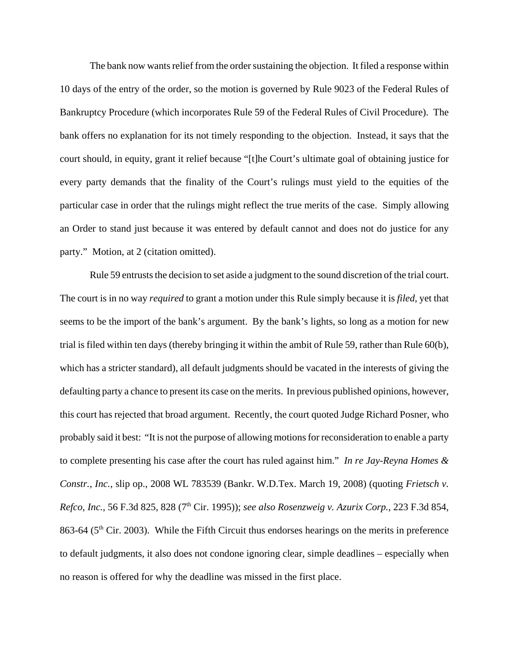The bank now wants relief from the order sustaining the objection. It filed a response within 10 days of the entry of the order, so the motion is governed by Rule 9023 of the Federal Rules of Bankruptcy Procedure (which incorporates Rule 59 of the Federal Rules of Civil Procedure). The bank offers no explanation for its not timely responding to the objection. Instead, it says that the court should, in equity, grant it relief because "[t]he Court's ultimate goal of obtaining justice for every party demands that the finality of the Court's rulings must yield to the equities of the particular case in order that the rulings might reflect the true merits of the case. Simply allowing an Order to stand just because it was entered by default cannot and does not do justice for any party." Motion, at 2 (citation omitted).

Rule 59 entrusts the decision to set aside a judgment to the sound discretion of the trial court. The court is in no way *required* to grant a motion under this Rule simply because it is *filed*, yet that seems to be the import of the bank's argument. By the bank's lights, so long as a motion for new trial is filed within ten days (thereby bringing it within the ambit of Rule 59, rather than Rule 60(b), which has a stricter standard), all default judgments should be vacated in the interests of giving the defaulting party a chance to present its case on the merits. In previous published opinions, however, this court has rejected that broad argument. Recently, the court quoted Judge Richard Posner, who probably said it best: "It is not the purpose of allowing motions for reconsideration to enable a party to complete presenting his case after the court has ruled against him." *In re Jay-Reyna Homes & Constr., Inc.*, slip op., 2008 WL 783539 (Bankr. W.D.Tex. March 19, 2008) (quoting *Frietsch v. Refco, Inc.*, 56 F.3d 825, 828 (7th Cir. 1995)); *see also Rosenzweig v. Azurix Corp.*, 223 F.3d 854, 863-64 ( $5<sup>th</sup>$  Cir. 2003). While the Fifth Circuit thus endorses hearings on the merits in preference to default judgments, it also does not condone ignoring clear, simple deadlines – especially when no reason is offered for why the deadline was missed in the first place.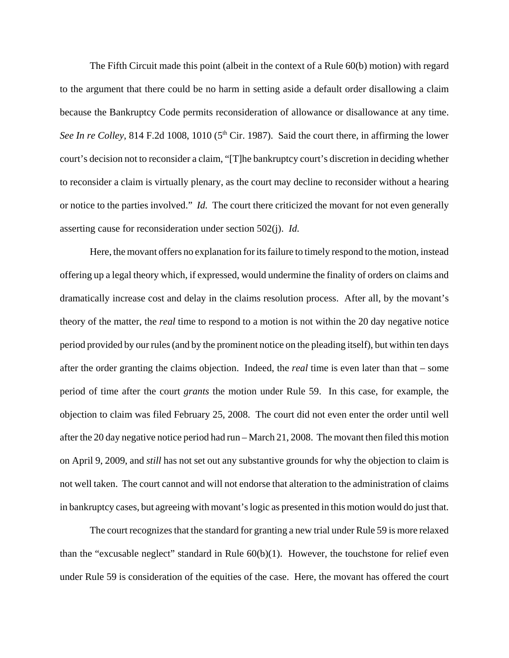The Fifth Circuit made this point (albeit in the context of a Rule 60(b) motion) with regard to the argument that there could be no harm in setting aside a default order disallowing a claim because the Bankruptcy Code permits reconsideration of allowance or disallowance at any time. *See In re Colley*, 814 F.2d 1008, 1010 ( $5<sup>th</sup>$  Cir. 1987). Said the court there, in affirming the lower court's decision not to reconsider a claim, "[T]he bankruptcy court's discretion in deciding whether to reconsider a claim is virtually plenary, as the court may decline to reconsider without a hearing or notice to the parties involved." *Id.* The court there criticized the movant for not even generally asserting cause for reconsideration under section 502(j). *Id.*

Here, the movant offers no explanation for its failure to timely respond to the motion, instead offering up a legal theory which, if expressed, would undermine the finality of orders on claims and dramatically increase cost and delay in the claims resolution process. After all, by the movant's theory of the matter, the *real* time to respond to a motion is not within the 20 day negative notice period provided by our rules (and by the prominent notice on the pleading itself), but within ten days after the order granting the claims objection. Indeed, the *real* time is even later than that – some period of time after the court *grants* the motion under Rule 59. In this case, for example, the objection to claim was filed February 25, 2008. The court did not even enter the order until well after the 20 day negative notice period had run – March 21, 2008. The movant then filed this motion on April 9, 2009, and *still* has not set out any substantive grounds for why the objection to claim is not well taken. The court cannot and will not endorse that alteration to the administration of claims in bankruptcy cases, but agreeing with movant's logic as presented in this motion would do just that.

The court recognizes that the standard for granting a new trial under Rule 59 is more relaxed than the "excusable neglect" standard in Rule  $60(b)(1)$ . However, the touchstone for relief even under Rule 59 is consideration of the equities of the case. Here, the movant has offered the court